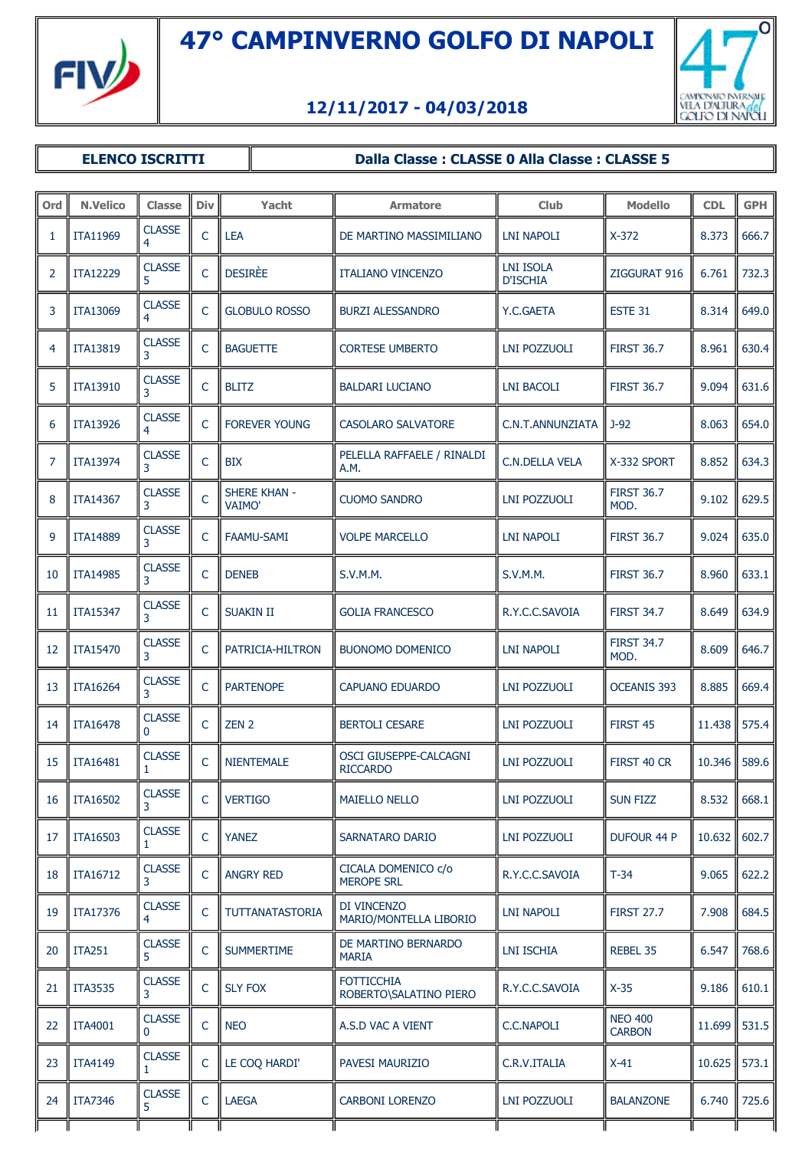

## O **CONFORMO IMBINIE**<br>VELA D'ALTURA *del*<br>GOLFO DI NAPOLI

## **12/11/2017 - 04/03/2018**

## **ELENCO ISCRITTI**  $\parallel$  Dalla Classe : CLASSE 0 Alla Classe : CLASSE 5

| Ord | <b>N.Velico</b> | <b>Classe</b>             | <b>Div</b> | Yacht                                | <b>Armatore</b>                             | Club                                | <b>Modello</b>                  | <b>CDL</b>     | <b>GPH</b> |
|-----|-----------------|---------------------------|------------|--------------------------------------|---------------------------------------------|-------------------------------------|---------------------------------|----------------|------------|
| 1   | <b>ITA11969</b> | <b>CLASSE</b><br>4        | C          | <b>LEA</b>                           | DE MARTINO MASSIMILIANO                     | <b>LNI NAPOLI</b>                   | $X-372$                         | 8.373          | 666.7      |
| 2   | <b>ITA12229</b> | <b>CLASSE</b><br>5.       | C          | <b>DESIRÈE</b>                       | <b>ITALIANO VINCENZO</b>                    | <b>LNI ISOLA</b><br><b>D'ISCHIA</b> | ZIGGURAT 916                    | 6.761          | 732.3      |
| 3   | ITA13069        | <b>CLASSE</b>             | C          | <b>GLOBULO ROSSO</b>                 | <b>BURZI ALESSANDRO</b>                     | Y.C.GAETA                           | ESTE 31                         | 8.314          | 649.0      |
| 4   | <b>ITA13819</b> | <b>CLASSE</b><br>3        | C          | <b>BAGUETTE</b>                      | <b>CORTESE UMBERTO</b>                      | LNI POZZUOLI                        | <b>FIRST 36.7</b>               | 8.961          | 630.4      |
| 5   | <b>ITA13910</b> | <b>CLASSE</b>             | C          | <b>BLITZ</b>                         | <b>BALDARI LUCIANO</b>                      | LNI BACOLI                          | <b>FIRST 36.7</b>               | 9.094          | 631.6      |
| 6   | <b>ITA13926</b> | <b>CLASSE</b><br>4        | C          | <b>FOREVER YOUNG</b>                 | <b>CASOLARO SALVATORE</b>                   | C.N.T.ANNUNZIATA                    | $J-92$                          | 8.063          | 654.0      |
| 7   | <b>ITA13974</b> | <b>CLASSE</b><br>3        | C          | <b>BIX</b>                           | PELELLA RAFFAELE / RINALDI<br>A.M.          | <b>C.N.DELLA VELA</b>               | X-332 SPORT                     | 8.852          | 634.3      |
| 8   | <b>ITA14367</b> | <b>CLASSE</b><br>3        | C          | <b>SHERE KHAN -</b><br><b>VAIMO'</b> | <b>CUOMO SANDRO</b>                         | LNI POZZUOLI                        | <b>FIRST 36.7</b><br>MOD.       | 9.102          | 629.5      |
| 9   | <b>ITA14889</b> | <b>CLASSE</b><br>3        | C          | <b>FAAMU-SAMI</b>                    | <b>VOLPE MARCELLO</b>                       | LNI NAPOLI                          | <b>FIRST 36.7</b>               | 9.024          | 635.0      |
| 10  | <b>ITA14985</b> | <b>CLASSE</b><br>3        | C          | <b>DENEB</b>                         | S.V.M.M.                                    | S.V.M.M.                            | <b>FIRST 36.7</b>               | 8.960          | 633.1      |
| 11  | <b>ITA15347</b> | <b>CLASSE</b><br>3        | C          | <b>SUAKIN II</b>                     | <b>GOLIA FRANCESCO</b>                      | R.Y.C.C.SAVOIA                      | <b>FIRST 34.7</b>               | 8.649          | 634.9      |
| 12  | <b>ITA15470</b> | <b>CLASSE</b><br>3        | C          | PATRICIA-HILTRON                     | <b>BUONOMO DOMENICO</b>                     | LNI NAPOLI                          | <b>FIRST 34.7</b><br>MOD.       | 8.609          | 646.7      |
| 13  | <b>ITA16264</b> | <b>CLASSE</b>             | C          | <b>PARTENOPE</b>                     | <b>CAPUANO EDUARDO</b>                      | LNI POZZUOLI                        | <b>OCEANIS 393</b>              | 8.885          | 669.4      |
| 14  | <b>ITA16478</b> | <b>CLASSE</b><br>$\Omega$ | C          | ZEN <sub>2</sub>                     | <b>BERTOLI CESARE</b>                       | LNI POZZUOLI                        | FIRST 45                        | 11.438         | 575.4      |
| 15  | <b>ITA16481</b> | <b>CLASSE</b>             | C          | <b>NIENTEMALE</b>                    | OSCI GIUSEPPE-CALCAGNI<br><b>RICCARDO</b>   | <b>LNI POZZUOLI</b>                 | FIRST 40 CR                     | 10.346         | 589.6      |
|     | 16   ITA16502   | <b>CLASSE</b><br>3        |            | <b>VERTIGO</b>                       | <b>MAIELLO NELLO</b>                        | <b>LNI POZZUOLI</b>                 | <b>SUN FIZZ</b>                 | $8.532$ 668.1  |            |
| 17  | <b>ITA16503</b> | <b>CLASSE</b><br>1        | C          | <b>YANEZ</b>                         | SARNATARO DARIO                             | LNI POZZUOLI                        | <b>DUFOUR 44 P</b>              | 10.632         | 602.7      |
| 18  | <b>ITA16712</b> | <b>CLASSE</b><br>3        | C          | <b>ANGRY RED</b>                     | CICALA DOMENICO c/o<br><b>MEROPE SRL</b>    | R.Y.C.C.SAVOIA                      | $T-34$                          | 9.065          | 622.2      |
| 19  | <b>ITA17376</b> | <b>CLASSE</b><br>4        | C          | TUTTANATASTORIA                      | DI VINCENZO<br>MARIO/MONTELLA LIBORIO       | LNI NAPOLI                          | <b>FIRST 27.7</b>               | 7.908          | 684.5      |
| 20  | <b>ITA251</b>   | <b>CLASSE</b><br>5        | C          | <b>SUMMERTIME</b>                    | DE MARTINO BERNARDO<br><b>MARIA</b>         | <b>LNI ISCHIA</b>                   | REBEL 35                        | 6.547          | 768.6      |
| 21  | <b>ITA3535</b>  | <b>CLASSE</b><br>3        | C          | <b>SLY FOX</b>                       | <b>FOTTICCHIA</b><br>ROBERTO\SALATINO PIERO | R.Y.C.C.SAVOIA                      | $X-35$                          | 9.186          | 610.1      |
| 22  | <b>ITA4001</b>  | <b>CLASSE</b><br>0        | C          | <b>NEO</b>                           | A.S.D VAC A VIENT                           | C.C.NAPOLI                          | <b>NEO 400</b><br><b>CARBON</b> | $11.699$ 531.5 |            |
| 23  | <b>ITA4149</b>  | <b>CLASSE</b><br>1.       | C          | LE COQ HARDI'                        | PAVESI MAURIZIO                             | C.R.V.ITALIA                        | $X-41$                          | 10.625         | 573.1      |
| 24  | <b>ITA7346</b>  | <b>CLASSE</b><br>5.       | C          | <b>LAEGA</b>                         | <b>CARBONI LORENZO</b>                      | LNI POZZUOLI                        | <b>BALANZONE</b>                | 6.740          | 725.6      |
|     |                 |                           |            |                                      |                                             |                                     |                                 |                |            |